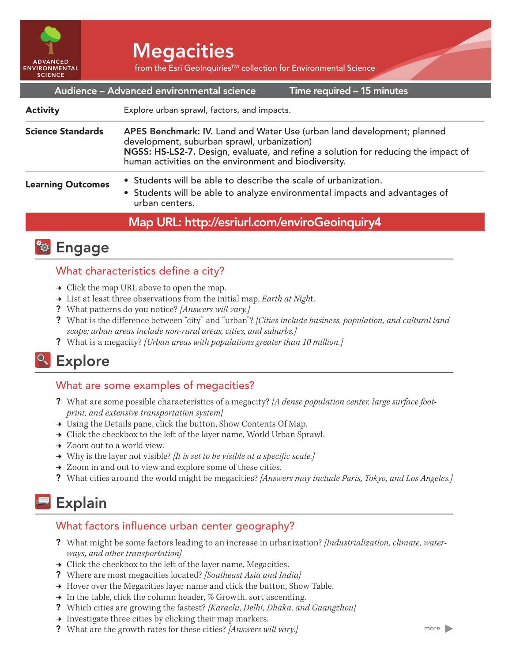

# **Megacities**

from the Esri GeoInquiries<sup>™</sup> collection for Environmental Science

| Audience - Advanced environmental science<br>Time required - 15 minutes |                                                                                                                                                                                                                                                                       |
|-------------------------------------------------------------------------|-----------------------------------------------------------------------------------------------------------------------------------------------------------------------------------------------------------------------------------------------------------------------|
| <b>Activity</b>                                                         | Explore urban sprawl, factors, and impacts.                                                                                                                                                                                                                           |
| <b>Science Standards</b>                                                | APES Benchmark: IV. Land and Water Use (urban land development; planned<br>development, suburban sprawl, urbanization)<br>NGSS: HS-LS2-7. Design, evaluate, and refine a solution for reducing the impact of<br>human activities on the environment and biodiversity. |
| <b>Learning Outcomes</b>                                                | • Students will be able to describe the scale of urbanization.<br>• Students will be able to analyze environmental impacts and advantages of<br>urban centers.                                                                                                        |
|                                                                         | $M_{\rm BH}$ UDL, $\mu_{\rm H}$ , $\mu_{\rm BH}$ , $\mu_{\rm BH}$ are $\mu_{\rm BH}$ , $\mu_{\rm BH}$                                                                                                                                                                 |

## Map URL: http://esriurl.com/enviroGeoinquiry4



## What characteristics define a city?

- $\rightarrow$  Click the map URL above to open the map.
- ʅ List at least three observations from the initial map, *Earth at Nigh*t.
- ? What patterns do you notice? *[Answers will vary.]*
- ? What is the difference between "city" and "urban"? *[Cities include business, population, and cultural landscape; urban areas include non-rural areas, cities, and suburbs.]*
- ? What is a megacity? *[Urban areas with populations greater than 10 million.]*

## <sup>Q</sup> Explore

## What are some examples of megacities?

- ? What are some possible characteristics of a megacity? *[A dense population center, large surface footprint, and extensive transportation system]*
- $\rightarrow$  Using the Details pane, click the button, Show Contents Of Map.
- $\rightarrow$  Click the checkbox to the left of the layer name, World Urban Sprawl.
- **→** Zoom out to a world view.
- ʅ Why is the layer not visible? *[It is set to be visible at a specific scale.]*
- $\rightarrow$  Zoom in and out to view and explore some of these cities.
- ? What cities around the world might be megacities? *[Answers may include Paris, Tokyo, and Los Angeles.]*

# Explain

## What factors influence urban center geography?

- ? What might be some factors leading to an increase in urbanization? *[Industrialization, climate, waterways, and other transportation]*
- $\rightarrow$  Click the checkbox to the left of the layer name, Megacities.
- ? Where are most megacities located? *[Southeast Asia and India]*
- **→** Hover over the Megacities layer name and click the button, Show Table.
- $\rightarrow$  In the table, click the column header, % Growth. sort ascending.
- ? Which cities are growing the fastest? *[Karachi, Delhi, Dhaka, and Guangzhou]*
- $\rightarrow$  Investigate three cities by clicking their map markers.
- ? What are the growth rates for these cities? *[Answers will vary.]*